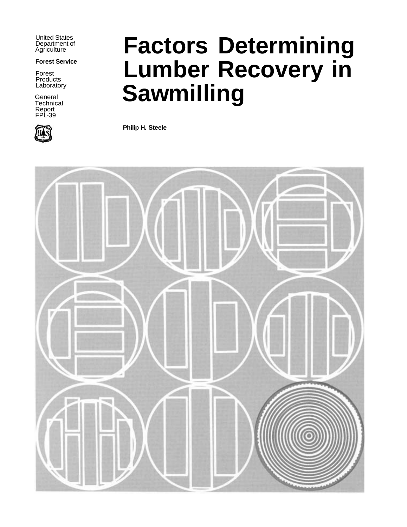United States Department of **Agriculture** 

#### **Forest Service**

Forest Products Laboratory

General **Technical** Report FPL-39



# **Factors Determining Lumber Recovery in Sawmilling**

**Philip H. Steele**

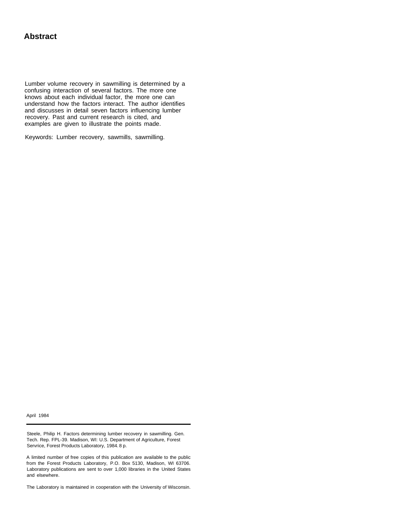#### **Abstract**

Lumber volume recovery in sawmilling is determined by a confusing interaction of several factors. The more one knows about each individual factor, the more one can understand how the factors interact. The author identifies and discusses in detail seven factors influencing lumber recovery. Past and current research is cited, and examples are given to illustrate the points made.

Keywords: Lumber recovery, sawmills, sawmilling.

April 1984

Steele, Philip H. Factors determining lumber recovery in sawmilling. Gen. Tech. Rep. FPL-39. Madison, WI: U.S. Department of Agriculture, Forest Servrice, Forest Products Laboratory, 1984. 8 p.

A limited number of free copies of this publication are available to the public from the Forest Products Laboratory, P.O. Box 5130, Madison, WI 63706. Laboratory publications are sent to over 1,000 libraries in the United States and elsewhere.

The Laboratory is maintained in cooperation with the University of Wisconsin.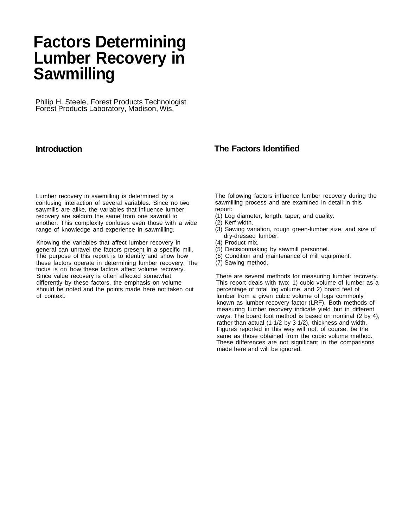## **Factors Determining Lumber Recovery in Sawmilling**

Philip H. Steele, Forest Products Technologist Forest Products Laboratory, Madison, Wis.

#### **Introduction**

Lumber recovery in sawmilling is determined by a confusing interaction of several variables. Since no two sawmills are alike, the variables that influence lumber recovery are seldom the same from one sawmill to another. This complexity confuses even those with a wide range of knowledge and experience in sawmilling.

Knowing the variables that affect lumber recovery in general can unravel the factors present in a specific mill. The purpose of this report is to identify and show how these factors operate in determining lumber recovery. The focus is on how these factors affect volume recovery. Since value recovery is often affected somewhat differently by these factors, the emphasis on volume should be noted and the points made here not taken out of context.

#### **The Factors Identified**

The following factors influence lumber recovery during the sawmilling process and are examined in detail in this report:

- (1) Log diameter, length, taper, and quality.
- (2) Kerf width.
- (3) Sawing variation, rough green-lumber size, and size of dry-dressed lumber.
- (4) Product mix.
- (5) Decisionmaking by sawmill personnel.
- (6) Condition and maintenance of mill equipment.
- (7) Sawing method.

There are several methods for measuring lumber recovery. This report deals with two: 1) cubic volume of lumber as a percentage of total log volume, and 2) board feet of lumber from a given cubic volume of logs commonly known as lumber recovery factor (LRF). Both methods of measuring lumber recovery indicate yield but in different ways. The board foot method is based on nominal (2 by 4), rather than actual (1-1/2 by 3-1/2), thickness and width. Figures reported in this way will not, of course, be the same as those obtained from the cubic volume method. These differences are not significant in the comparisons made here and will be ignored.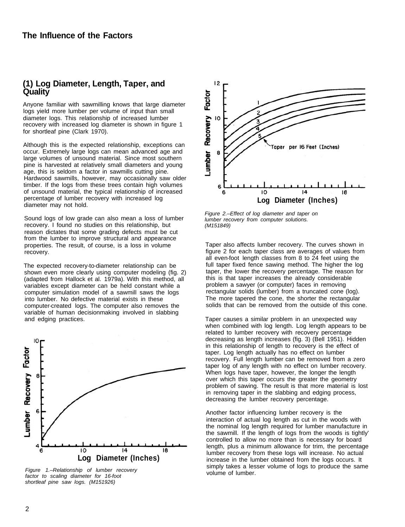### **(1) Log Diameter, Length, Taper, and Quality**

Anyone familiar with sawmilling knows that large diameter logs yield more lumber per volume of input than small diameter logs. This relationship of increased lumber recovery with increased log diameter is shown in figure 1 for shortleaf pine (Clark 1970).

Although this is the expected relationship, exceptions can occur. Extremely large logs can mean advanced age and large volumes of unsound material. Since most southern pine is harvested at relatively small diameters and young age, this is seldom a factor in sawmills cutting pine. Hardwood sawmills, however, may occasionally saw older timber. If the logs from these trees contain high volumes of unsound material, the typical relationship of increased percentage of lumber recovery with increased log diameter may not hold.

Sound logs of low grade can also mean a loss of lumber recovery. I found no studies on this relationship, but reason dictates that some grading defects must be cut from the lumber to improve structural and appearance properties. The result, of course, is a loss in volume recovery.

The expected recovery-to-diameter relationship can be shown even more clearly using computer modeling (fig. 2) (adapted from Hallock et al. 1979a). With this method, all variables except diameter can be held constant while a computer simulation model of a sawmill saws the logs into lumber. No defective material exists in these computer-created logs. The computer also removes the variable of human decisionmaking involved in slabbing and edging practices.



*Figure 1.–Relationship of lumber recovery factor to scaling diameter for 16-foot shortleaf pine saw logs. (M151926)* 



*Figure 2.–Effect of log diameter and taper on lumber recovery from computer solutions. (M 151 849)* 

Taper also affects lumber recovery. The curves shown in figure 2 for each taper class are averages of values from all even-foot length classes from 8 to 24 feet using the full taper fixed fence sawing method. The higher the log taper, the lower the recovery percentage. The reason for this is that taper increases the already considerable problem a sawyer (or computer) faces in removing rectangular solids (lumber) from a truncated cone (log). The more tapered the cone, the shorter the rectangular solids that can be removed from the outside of this cone.

Taper causes a similar problem in an unexpected way when combined with log length. Log length appears to be related to lumber recovery with recovery percentage decreasing as length increases (fig. 3) (Bell 1951). Hidden in this relationship of length to recovery is the effect of taper. Log length actually has no effect on lumber recovery. Full length lumber can be removed from a zero taper log of any length with no effect on lumber recovery. When logs have taper, however, the longer the length over which this taper occurs the greater the geometry problem of sawing. The result is that more material is lost in removing taper in the slabbing and edging process, decreasing the lumber recovery percentage.

Another factor influencing lumber recovery is the interaction of actual log length as cut in the woods with the nominal log length required for lumber manufacture in the sawmill. If the length of logs from the woods is tightly' controlled to allow no more than is necessary for board length, plus a minimum allowance for trim, the percentage lumber recovery from these logs will increase. No actual increase in the lumber obtained from the logs occurs. It simply takes a lesser volume of logs to produce the same volume of lumber.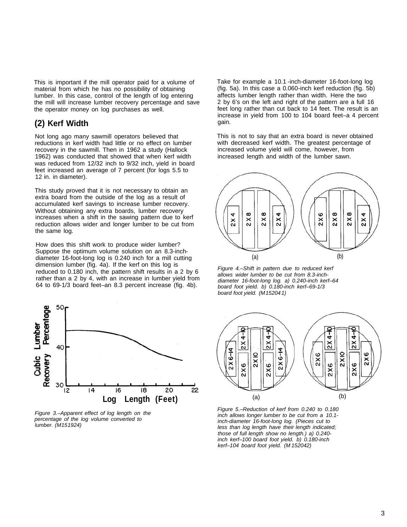This is important if the mill operator paid for a volume of material from which he has no possibility of obtaining lumber. In this case, control of the length of log entering the mill will increase lumber recovery percentage and save the operator money on log purchases as well.

#### **(2) Kerf Width**

Not long ago many sawmill operators believed that reductions in kerf width had little or no effect on lumber recovery in the sawmill. Then in 1962 a study (Hallock 1962) was conducted that showed that when kerf width was reduced from 12/32 inch to 9/32 inch, yield in board feet increased an average of 7 percent (for logs 5.5 to 12 in. in diameter).

This study proved that it is not necessary to obtain an extra board from the outside of the log as a result of accumulated kerf savings to increase lumber recovery. Without obtaining any extra boards, lumber recovery increases when a shift in the sawing pattern due to kerf reduction allows wider and longer lumber to be cut from the same log.

How does this shift work to produce wider lumber? Suppose the optimum volume solution on an 8.3-inchdiameter 16-foot-long log is 0.240 inch for a mill cutting dimension lumber (fig. 4a). If the kerf on this log is reduced to 0.180 inch, the pattern shift results in a 2 by 6 rather than a 2 by 4, with an increase in lumber yield from 64 to 69-1/3 board feet–an 8.3 percent increase (fig. 4b).



*Figure 3.–Apparent effect of log length on the lumber. (M 15 1924) percentage of the log volume converted to* 

Take for example a 10.1 -inch-diameter 16-foot-long log (fig. 5a). In this case a 0.060-inch kerf reduction (fig. 5b) affects lumber length rather than width. Here the two 2 by 6's on the left and right of the pattern are a full 16 feet long rather than cut back to 14 feet. The result is an increase in yield from 100 to 104 board feet–a 4 percent gain.

This is not to say that an extra board is never obtained with decreased kerf width. The greatest percentage of increased volume yield will come, however, from increased length and width of the lumber sawn.



*Figure 4.–Shift in pattern due to reduced kerf allows wider lumber to be cut from 8.3-inchdiameter 16-foot-long log. a) 0.240-inch kerf–64 board foot yield. b) 0.180-inch kerf–69-1/3 board foot yield. (M 15204 1)* 



*Figure 5.–Reduction of kerf from 0.240 to 0.180 inch allows longer lumber to be cut from a 10.1 inch-diameter 16-foot-long log. (Pieces cut to less than log length have their length indicated; those of full length show no length.) a) 0.240 inch kerf–100 board foot yield. b) 0.180-inch kerf–104 board foot yield. (M 152042)*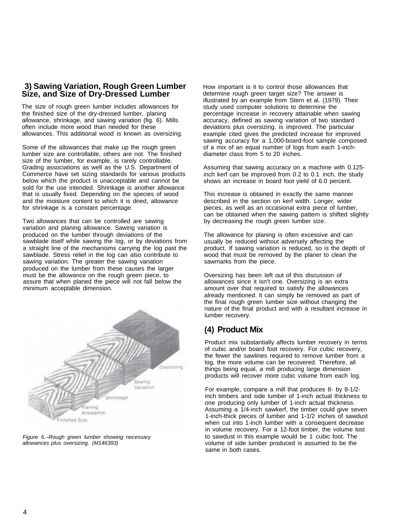#### **3) Sawing Variation, Rough Green Lumber Size, and Size of Dry-Dressed Lumber**

The size of rough green lumber includes allowances for the finished size of the dry-dressed lumber, planing allowance, shrinkage, and sawing variation (fig. 6). Mills often include more wood than needed for these allowances. This additional wood is known as oversizing.

Some of the allowances that make up the rough green lumber size are controllable, others are not. The finished size of the lumber, for example, is rarely controllable. Grading associations as well as the U.S. Department of Commerce have set sizing standards for various products below which the product is unacceptable and cannot be sold for the use intended. Shrinkage is another allowance that is usually fixed. Depending on the species of wood and the moisture content to which it is dried, allowance for shrinkage is a constant percentage.

Two allowances that can be controlled are sawing variation and planing allowance. Sawing variation is produced on the lumber through deviations of the sawblade itself while sawing the log, or by deviations from a straight line of the mechanisms carrying the log past the sawblade. Stress relief in the log can also contribute to sawing variation. The greater the sawing variation produced on the lumber from these causes the larger must be the allowance on the rough green piece, to assure that when planed the piece will not fall below the minimum acceptable dimension.



*Figure 6.–Rough green lumber showing necessary allowances plus oversizing. (M146393)* 

How important is it to control those allowances that determine rough green target size? The answer is illustrated by an example from Stern et al. (1979). Their study used computer solutions to determine the percentage increase in recovery attainable when sawing accuracy, defined as sawing variation of two standard deviations plus oversizing, is improved. The particular example cited gives the predicted increase for improved sawing accuracy for a 1,000-board-foot sample composed of a mix of an equal number of logs from each 1-inchdiameter class from 5 to 20 inches.

Assuming that sawing accuracy on a machine with 0.125 inch kerf can be improved from 0.2 to 0.1 inch, the study shows an increase in board foot yield of 6.0 percent.

This increase is obtained in exactly the same manner described in the section on kerf width. Longer, wider pieces, as well as an occasional extra piece of lumber, can be obtained when the sawing pattern is shifted slightly by decreasing the rough green lumber size.

The allowance for planing is often excessive and can usually be reduced without adversely affecting the product. If sawing variation is reduced, so is the depth of wood that must be removed by the planer to clean the sawmarks from the piece.

Oversizing has been left out of this discussion of allowances since it isn't one. Oversizing is an extra amount over that required to satisfy the allowances already mentioned. It can simply be removed as part of the final rough green lumber size without changing the nature of the final product and with a resultant increase in lumber recovery.

#### **(4) Product Mix**

Product mix substantially affects lumber recovery in terms of cubic and/or board foot recovery. For cubic recovery, the fewer the sawlines required to remove lumber from a log, the more volume can be recovered. Therefore, all things being equal, a mill producing large dimension products will recover more cubic volume from each log.

For example, compare a mill that produces 8- by 8-1/2 inch timbers and side lumber of 1-inch actual thickness to one producing only lumber of 1-inch actual thickness. Assuming a 1/4-inch sawkerf, the timber could give seven 1-inch-thick pieces of lumber and 1-1/2 inches of sawdust when cut into 1-inch lumber with a consequent decrease in volume recovery. For a 12-foot timber, the volume lost to sawdust in this example would be 1 cubic foot. The volume of side lumber produced is assumed to be the same in both cases.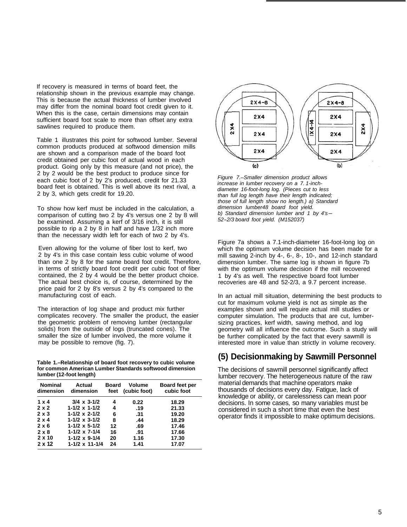If recovery is measured in terms of board feet, the relationship shown in the previous example may change. This is because the actual thickness of lumber involved may differ from the nominal board foot credit given to it. When this is the case, certain dimensions may contain sufficient board foot scale to more than offset any extra sawlines required to produce them.

Table 1 illustrates this point for softwood lumber. Several common products produced at softwood dimension mills are shown and a comparison made of the board foot credit obtained per cubic foot of actual wood in each product. Going only by this measure (and not price), the 2 by 2 would be the best product to produce since for each cubic foot of 2 by 2's produced, credit for 21.33 board feet is obtained. This is well above its next rival, a 2 by 3, which gets credit for 19.20.

To show how kerf must be included in the calculation, a comparison of cutting two 2 by 4's versus one 2 by 8 will be examined. Assuming a kerf of 3/16 inch, it is still possible to rip a 2 by 8 in half and have 1/32 inch more than the necessary width left for each of two 2 by 4's.

Even allowing for the volume of fiber lost to kerf, two 2 by 4's in this case contain less cubic volume of wood than one 2 by 8 for the same board foot credit. Therefore, in terms of strictly board foot credit per cubic foot of fiber contained, the 2 by 4 would be the better product choice. The actual best choice is, of course, determined by the price paid for 2 by 8's versus 2 by 4's compared to the manufacturing cost of each.

The interaction of log shape and product mix further complicates recovery. The smaller the product, the easier the geometric problem of removing lumber (rectangular solids) from the outside of logs (truncated cones). The smaller the size of lumber involved, the more volume it may be possible to remove (fig. 7).

**Table 1.–Relationship of board foot recovery to cubic volume for common American Lumber Standards softwood dimension lumber (12-foot length)** 

| <b>Nominal</b><br>dimension | Actual<br>dimension       | <b>Board</b><br>feet | Volume<br>(cubic foot) | Board feet per<br>cubic foot |
|-----------------------------|---------------------------|----------------------|------------------------|------------------------------|
| $1 \times 4$                | $3/4 \times 3 - 1/2$      | 4                    | 0.22                   | 18.29                        |
| $2 \times 2$                | $1 - 1/2 \times 1 - 1/2$  | 4                    | .19                    | 21.33                        |
| $2 \times 3$                | $1 - 1/2 \times 2 - 1/2$  | 6                    | .31                    | 19.20                        |
| $2 \times 4$                | $1 - 1/2 \times 3 - 1/2$  | 8                    | .44                    | 18.29                        |
| $2 \times 6$                | $1 - 1/2 \times 5 - 1/2$  | 12                   | .69                    | 17.46                        |
| $2 \times 8$                | $1 - 1/2 \times 7 - 1/4$  | 16                   | .91                    | 17.66                        |
| $2 \times 10$               | $1 - 1/2 \times 9 - 1/4$  | 20                   | 1.16                   | 17.30                        |
| 2 x 12                      | $1 - 1/2 \times 11 - 1/4$ | 24                   | 1.41                   | 17.07                        |



*Figure 7.–Smaller dimension product allows increase in lumber recovery on a 7. 1-inchdiameter 16-foot-long log. (Pieces cut to less than full log length have their length indicated; those of full length show no length.) a) Standard dimension lumber48 board foot yield. b) Standard dimension lumber and 1 by 4's-52-2/3 board foot yield. (M152037)* 

Figure 7a shows a 7.1-inch-diameter 16-foot-long log on which the optimum volume decision has been made for a mill sawing 2-inch by 4-, 6-, 8-, 10-, and 12-inch standard dimension lumber. The same log is shown in figure 7b with the optimum volume decision if the mill recovered 1 by 4's as well. The respective board foot lumber recoveries are 48 and 52-2/3, a 9.7 percent increase.

In an actual mill situation, determining the best products to cut for maximum volume yield is not as simple as the examples shown and will require actual mill studies or computer simulation. The products that are cut, lumbersizing practices, kerf width, sawing method, and log geometry will all influence the outcome. Such a study will be further complicated by the fact that every sawmill is interested more in value than strictly in volume recovery.

#### **(5) Decisionmaking by Sawmill Personnel**

The decisions of sawmill personnel significantly affect lumber recovery. The heterogeneous nature of the raw material demands that machine operators make thousands of decisions every day. Fatigue, lack of knowledge or ability, or carelessness can mean poor decisions. In some cases, so many variables must be considered in such a short time that even the best operator finds it impossible to make optimum decisions.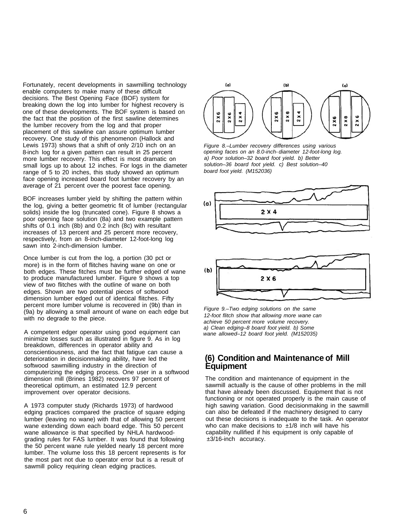Fortunately, recent developments in sawmilling technology enable computers to make many of these difficult decisions. The Best Opening Face (BOF) system for breaking down the log into lumber for highest recovery is one of these developments. The BOF system is based on the fact that the position of the first sawline determines the lumber recovery from the log and that proper placement of this sawline can assure optimum lumber recovery. One study of this phenomenon (Hallock and Lewis 1973) shows that a shift of only 2/10 inch on an 8-inch log for a given pattern can result in 25 percent more lumber recovery. This effect is most dramatic on small logs up to about 12 inches. For logs in the diameter range of 5 to 20 inches, this study showed an optimum face opening increased board foot lumber recovery by an average of 21 percent over the poorest face opening.

BOF increases lumber yield by shifting the pattern within the log, giving a better geometric fit of lumber (rectangular solids) inside the log (truncated cone). Figure 8 shows a poor opening face solution (8a) and two example pattern shifts of 0.1 inch (8b) and 0.2 inch (8c) with resultant increases of 13 percent and 25 percent more recovery, respectively, from an 8-inch-diameter 12-foot-long log sawn into 2-inch-dimension lumber.

Once lumber is cut from the log, a portion (30 pct or more) is in the form of flitches having wane on one or both edges. These fitches must be further edged of wane to produce manufactured lumber. Figure 9 shows a top view of two flitches with the outline of wane on both edges. Shown are two potential pieces of softwood dimension lumber edged out of identical flitches. Fifty percent more lumber volume is recovered in (9b) than in (9a) by allowing a small amount of wane on each edge but with no degrade to the piece.

A competent edger operator using good equipment can minimize losses such as illustrated in figure 9. As in log breakdown, differences in operator ability and conscientiousness, and the fact that fatigue can cause a deterioration in decisionmaking ability, have led the softwood sawmilling industry in the direction of computerizing the edging process. One user in a softwood dimension mill (Brines 1982) recovers 97 percent of theoretical optimum, an estimated 12.9 percent improvement over operator decisions.

A 1973 computer study (Richards 1973) of hardwood edging practices compared the practice of square edging lumber (leaving no wane) with that of allowing 50 percent wane extending down each board edge. This 50 percent wane allowance is that specified by NHLA hardwoodgrading rules for FAS lumber. It was found that following the 50 percent wane rule yielded nearly 18 percent more lumber. The volume loss this 18 percent represents is for the most part not due to operator error but is a result of sawmill policy requiring clean edging practices.



*Figure 8.–Lumber recovery differences using various opening faces on an 8.0-inch- diameter 12-foot-long log. a) Poor solution–32 board foot yield. b) Better solution–36 board foot yield. c) Best solution–40 board foot yield. (M152036)* 





*Figure 9.–Two edging solutions on the same 12-foot flitch show that allowing more wane can achieve 50 percent more volume recovery. a) Clean edging–8 board foot yield. b) Some wane allowed–12 board foot yield. (M152035)* 

#### **(6) Condition and Maintenance of Mill Equipment**

The condition and maintenance of equipment in the sawmill actually is the cause of other problems in the mill that have already been discussed. Equipment that is not functioning or not operated properly is the main cause of high sawing variation. Good decisionmaking in the sawmill can also be defeated if the machinery designed to carry out these decisions is inadequate to the task. An operator who can make decisions to  $\pm 1/8$  inch will have his capability nullified if his equipment is only capable of ±3/16-inch accuracy.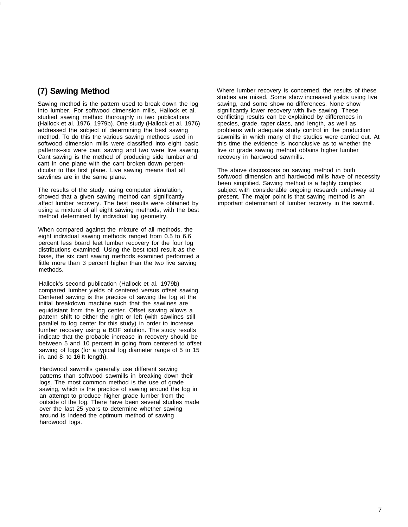### **(7) Sawing Method**

Sawing method is the pattern used to break down the log into lumber. For softwood dimension mills, Hallock et al. studied sawing method thoroughly in two publications (Hallock et al. 1976, 1979b). One study (Hallock et al. 1976) addressed the subject of determining the best sawing method. To do this the various sawing methods used in softwood dimension mills were classified into eight basic patterns–six were cant sawing and two were live sawing. Cant sawing is the method of producing side lumber and cant in one plane with the cant broken down perpendicular to this first plane. Live sawing means that all sawlines are in the same plane.

The results of the study, using computer simulation, showed that a given sawing method can significantly affect lumber recovery. The best results were obtained by using a mixture of all eight sawing methods, with the best method determined by individual log geometry.

When compared against the mixture of all methods, the eight individual sawing methods ranged from 0.5 to 6.6 percent less board feet lumber recovery for the four log distributions examined. Using the best total result as the base, the six cant sawing methods examined performed a little more than 3 percent higher than the two live sawing methods.

Hallock's second publication (Hallock et al. 1979b) compared lumber yields of centered versus offset sawing. Centered sawing is the practice of sawing the log at the initial breakdown machine such that the sawlines are equidistant from the log center. Offset sawing allows a pattern shift to either the right or left (with sawlines still parallel to log center for this study) in order to increase lumber recovery using a BOF solution. The study results indicate that the probable increase in recovery should be between 5 and 10 percent in going from centered to offset sawing of logs (for a typical log diameter range of 5 to 15 in. and 8- to 16-ft length).

Hardwood sawmills generally use different sawing patterns than softwood sawmills in breaking down their logs. The most common method is the use of grade sawing, which is the practice of sawing around the log in an attempt to produce higher grade lumber from the outside of the log. There have been several studies made over the last 25 years to determine whether sawing around is indeed the optimum method of sawing hardwood logs.

Where lumber recovery is concerned, the results of these studies are mixed. Some show increased yields using live sawing, and some show no differences. None show significantly lower recovery with live sawing. These conflicting results can be explained by differences in species, grade, taper class, and length, as well as problems with adequate study control in the production sawmills in which many of the studies were carried out. At this time the evidence is inconclusive as to whether the live or grade sawing method obtains higher lumber recovery in hardwood sawmills.

The above discussions on sawing method in both softwood dimension and hardwood mills have of necessity been simplified. Sawing method is a highly complex subject with considerable ongoing research underway at present. The major point is that sawing method is an important determinant of lumber recovery in the sawmill.